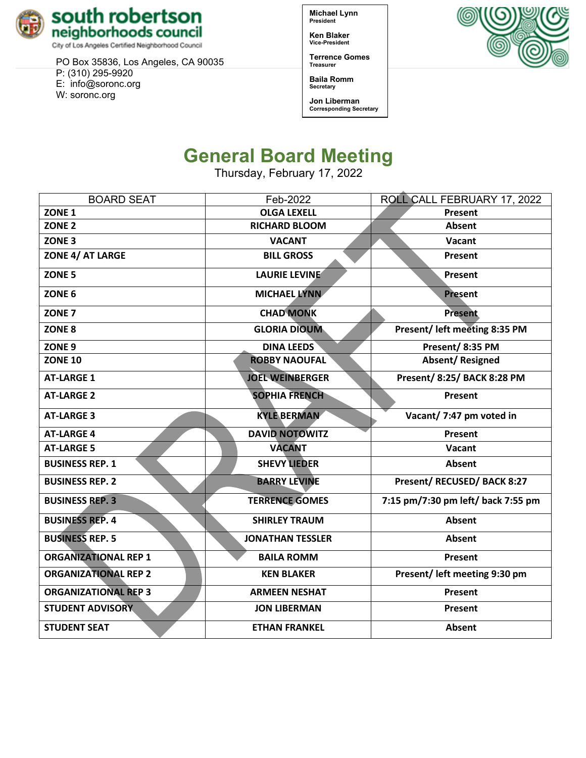

City of Los Angeles Certified Neighborhood Council

PO Box 35836, Los Angeles, CA 90035 P: (310) 295-9920

E: [info@soronc.org](mailto:info@soronc.org)

W: soronc.org

**Michael Lynn President**

**Ken Blaker Vice-President**

**Terrence Gomes Treasurer**

**Baila Romm Secretary**

**Jon Liberman Corresponding Secretary**



# **General Board Meeting**

Thursday, February 17, 2022

| <b>BOARD SEAT</b>           | Feb-2022                | ROLL CALL FEBRUARY 17, 2022        |  |
|-----------------------------|-------------------------|------------------------------------|--|
| ZONE <sub>1</sub>           | <b>OLGA LEXELL</b>      | Present                            |  |
| ZONE <sub>2</sub>           | <b>RICHARD BLOOM</b>    | Absent                             |  |
| ZONE <sub>3</sub>           | <b>VACANT</b>           | Vacant                             |  |
| <b>ZONE 4/ AT LARGE</b>     | <b>BILL GROSS</b>       | Present                            |  |
| ZONE <sub>5</sub>           | <b>LAURIE LEVINE</b>    | Present                            |  |
| ZONE <sub>6</sub>           | <b>MICHAEL LYNN</b>     | <b>Present</b>                     |  |
| ZONE <sub>7</sub>           | <b>CHAD MONK</b>        | <b>Present</b>                     |  |
| ZONE <sub>8</sub>           | <b>GLORIA DIOUM</b>     | Present/ left meeting 8:35 PM      |  |
| ZONE <sub>9</sub>           | <b>DINA LEEDS</b>       | Present/8:35 PM                    |  |
| <b>ZONE 10</b>              | <b>ROBBY NAOUFAL</b>    | <b>Absent/Resigned</b>             |  |
| <b>AT-LARGE 1</b>           | <b>JOEL WEINBERGER</b>  | <b>Present/ 8:25/ BACK 8:28 PM</b> |  |
| <b>AT-LARGE 2</b>           | <b>SOPHIA FRENCH</b>    | Present                            |  |
| <b>AT-LARGE 3</b>           | <b>KYLE BERMAN</b>      | Vacant/ 7:47 pm voted in           |  |
| <b>AT-LARGE 4</b>           | <b>DAVID NOTOWITZ</b>   | Present                            |  |
| <b>AT-LARGE 5</b>           | <b>VACANT</b>           | Vacant                             |  |
| <b>BUSINESS REP. 1</b>      | <b>SHEVY LIEDER</b>     | Absent                             |  |
| <b>BUSINESS REP. 2</b>      | <b>BARRY LEVINE</b>     | Present/ RECUSED/ BACK 8:27        |  |
| <b>BUSINESS REP. 3</b>      | <b>TERRENCE GOMES</b>   | 7:15 pm/7:30 pm left/ back 7:55 pm |  |
| <b>BUSINESS REP. 4</b>      | <b>SHIRLEY TRAUM</b>    | <b>Absent</b>                      |  |
| <b>BUSINESS REP. 5</b>      | <b>JONATHAN TESSLER</b> | Absent                             |  |
| <b>ORGANIZATIONAL REP 1</b> | <b>BAILA ROMM</b>       | Present                            |  |
| <b>ORGANIZATIONAL REP 2</b> | <b>KEN BLAKER</b>       | Present/ left meeting 9:30 pm      |  |
| <b>ORGANIZATIONAL REP 3</b> | <b>ARMEEN NESHAT</b>    | Present                            |  |
| <b>STUDENT ADVISORY</b>     | <b>JON LIBERMAN</b>     | Present                            |  |
| <b>STUDENT SEAT</b>         | <b>ETHAN FRANKEL</b>    | <b>Absent</b>                      |  |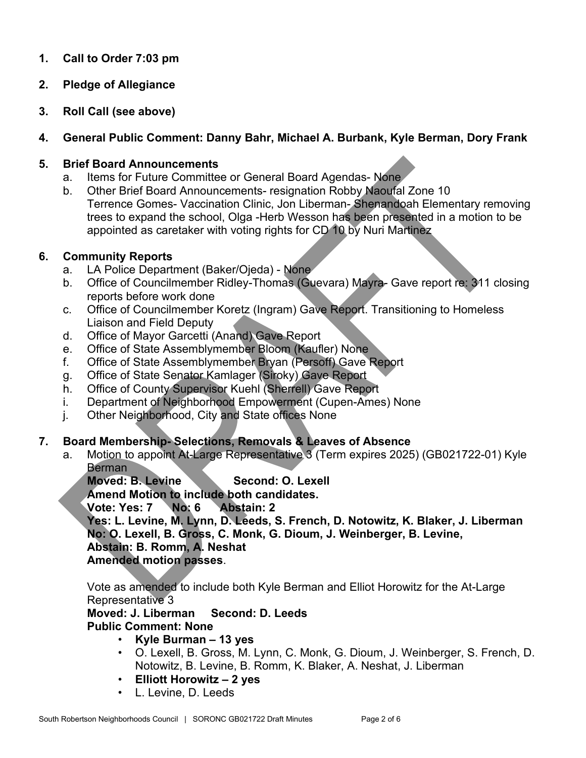# **1. Call to Order 7:03 pm**

- **2. Pledge of Allegiance**
- **3. Roll Call (see above)**

# **4. General Public Comment: Danny Bahr, Michael A. Burbank, Kyle Berman, Dory Frank**

#### **5. Brief Board Announcements**

- a. Items for Future Committee or General Board Agendas- None
- b. Other Brief Board Announcements- resignation Robby Naoufal Zone 10 Terrence Gomes- Vaccination Clinic, Jon Liberman- Shenandoah Elementary removing trees to expand the school, Olga -Herb Wesson has been presented in a motion to be appointed as caretaker with voting rights for CD 10 by Nuri Martinez

# **6. Community Reports**

- a. LA Police Department (Baker/Ojeda) None
- b. Office of Councilmember Ridley-Thomas (Guevara) Mayra- Gave report re: 311 closing reports before work done
- c. Office of Councilmember Koretz (Ingram) Gave Report. Transitioning to Homeless Liaison and Field Deputy
- d. Office of Mayor Garcetti (Anand) Gave Report
- e. Office of State Assemblymember Bloom (Kaufler) None
- f. Office of State Assemblymember Bryan (Persoff) Gave Report
- g. Office of State Senator Kamlager (Siroky) Gave Report
- h. Office of County Supervisor Kuehl (Sherrell) Gave Report
- i. Department of Neighborhood Empowerment (Cupen-Ames) None
- j. Other Neighborhood, City and State offices None

# **7. Board Membership- Selections, Removals & Leaves of Absence**

a. Motion to appoint At-Large Representative 3 (Term expires 2025) (GB021722-01) Kyle **Berman** 

**Moved: B. Levine Second: O. Lexell** 

**Amend Motion to include both candidates.**

**Vote: Yes: 7 No: 6 Abstain: 2**

**Yes: L. Levine, M. Lynn, D. Leeds, S. French, D. Notowitz, K. Blaker, J. Liberman No: O. Lexell, B. Gross, C. Monk, G. Dioum, J. Weinberger, B. Levine, Abstain: B. Romm, A. Neshat Amended motion passes**.

Vote as amended to include both Kyle Berman and Elliot Horowitz for the At-Large Representative 3

**Moved: J. Liberman Second: D. Leeds**

# **Public Comment: None**

- **Kyle Burman – 13 yes**
- O. Lexell, B. Gross, M. Lynn, C. Monk, G. Dioum, J. Weinberger, S. French, D. Notowitz, B. Levine, B. Romm, K. Blaker, A. Neshat, J. Liberman
- **Elliott Horowitz – 2 yes**
- L. Levine, D. Leeds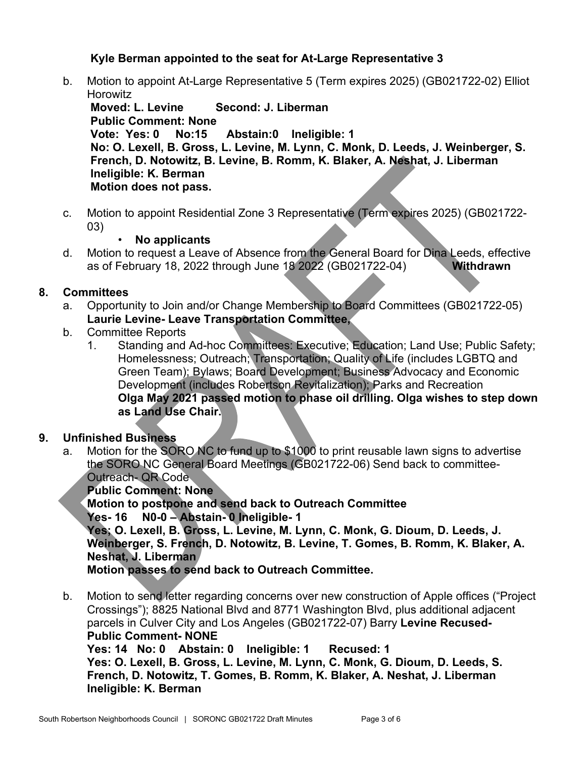# **Kyle Berman appointed to the seat for At-Large Representative 3**

b. Motion to appoint At-Large Representative 5 (Term expires 2025) (GB021722-02) Elliot Horowitz

**Moved: L. Levine Second: J. Liberman Public Comment: None** Abstain:0 Ineligible: 1 **No: O. Lexell, B. Gross, L. Levine, M. Lynn, C. Monk, D. Leeds, J. Weinberger, S. French, D. Notowitz, B. Levine, B. Romm, K. Blaker, A. Neshat, J. Liberman Ineligible: K. Berman Motion does not pass.**

c. Motion to appoint Residential Zone 3 Representative (Term expires 2025) (GB021722- 03)

# • **No applicants**

d. Motion to request a Leave of Absence from the General Board for Dina Leeds, effective as of February 18, 2022 through June 18 2022 (GB021722-04) **Withdrawn**

# **8. Committees**

- a. Opportunity to Join and/or Change Membership to Board Committees (GB021722-05) **Laurie Levine- Leave Transportation Committee,**
- b. Committee Reports
	- 1. Standing and Ad-hoc Committees: Executive; Education; Land Use; Public Safety; Homelessness; Outreach; Transportation; Quality of Life (includes LGBTQ and Green Team); Bylaws; Board Development; Business Advocacy and Economic Development (includes Robertson Revitalization); Parks and Recreation **Olga May 2021 passed motion to phase oil drilling. Olga wishes to step down as Land Use Chair.**

# **9. Unfinished Business**

a. Motion for the SORO NC to fund up to \$1000 to print reusable lawn signs to advertise the SORO NC General Board Meetings (GB021722-06) Send back to committee-Outreach- QR Code

**Public Comment: None**

**Motion to postpone and send back to Outreach Committee Yes- 16 N0-0 – Abstain- 0 Ineligible- 1 Yes; O. Lexell, B. Gross, L. Levine, M. Lynn, C. Monk, G. Dioum, D. Leeds, J. Weinberger, S. French, D. Notowitz, B. Levine, T. Gomes, B. Romm, K. Blaker, A. Neshat, J. Liberman Motion passes to send back to Outreach Committee.** 

b. Motion to send letter regarding concerns over new construction of Apple offices ("Project Crossings"); 8825 National Blvd and 8771 Washington Blvd, plus additional adjacent parcels in Culver City and Los Angeles (GB021722-07) Barry **Levine Recused-Public Comment- NONE Yes: 14 No: 0 Abstain: 0 Ineligible: 1 Recused: 1 Yes: O. Lexell, B. Gross, L. Levine, M. Lynn, C. Monk, G. Dioum, D. Leeds, S. French, D. Notowitz, T. Gomes, B. Romm, K. Blaker, A. Neshat, J. Liberman**

**Ineligible: K. Berman**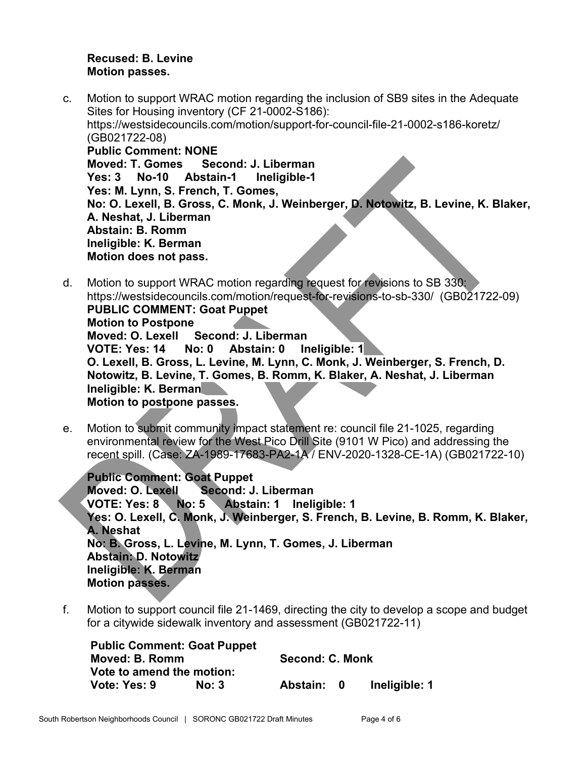#### **Recused: B. Levine Motion passes.**

- c. Motion to support WRAC motion regarding the inclusion of SB9 sites in the Adequate Sites for Housing inventory (CF 21-0002-S186): [https://westsidecouncils.com/motion/support-for-council-file-21-0002-s186-koretz/](https://westsidecouncils.com/motion/support-for-council-file-21-0002-s186-koretz) (GB021722-08) **Public Comment: NONE** Second: **J. Liberman Yes: 3 No-10 Abstain-1 Ineligible-1 Yes: M. Lynn, S. French, T. Gomes, No: O. Lexell, B. Gross, C. Monk, J. Weinberger, D. Notowitz, B. Levine, K. Blaker, A. Neshat, J. Liberman Abstain: B. Romm Ineligible: K. Berman Motion does not pass.**
- d. Motion to support WRAC motion regarding request for revisions to SB 330: <https://westsidecouncils.com/motion/request-for-revisions-to-sb-330/>(GB021722-09) **PUBLIC COMMENT: Goat Puppet Motion to Postpone Moved: O. Lexell Second: J. Liberman VOTE: Yes: 14 No: 0 Abstain: 0 Ineligible: 1 O. Lexell, B. Gross, L. Levine, M. Lynn, C. Monk, J. Weinberger, S. French, D. Notowitz, B. Levine, T. Gomes, B. Romm, K. Blaker, A. Neshat, J. Liberman Ineligible: K. Berman Motion to postpone passes.**
- e. Motion to submit community impact statement re: council file 21-1025, regarding environmental review for the West Pico Drill Site (9101 W Pico) and addressing the recent spill. (Case: ZA-1989-17683-PA2-1A / ENV-2020-1328-CE-1A) (GB021722-10)

**Public Comment: Goat Puppet Moved: O. Lexell Second: J. Liberman VOTE: Yes: 8 No: 5 Abstain: 1 Ineligible: 1 Yes: O. Lexell, C. Monk, J. Weinberger, S. French, B. Levine, B. Romm, K. Blaker, A. Neshat No: B. Gross, L. Levine, M. Lynn, T. Gomes, J. Liberman Abstain: D. Notowitz Ineligible: K. Berman Motion passes.**

f. Motion to support council file 21-1469, directing the city to develop a scope and budget for a citywide sidewalk inventory and assessment (GB021722-11)

| <b>Public Comment: Goat Puppet</b> |       |          |                 |               |  |  |
|------------------------------------|-------|----------|-----------------|---------------|--|--|
| Moved: B. Romm                     |       |          | Second: C. Monk |               |  |  |
| Vote to amend the motion:          |       |          |                 |               |  |  |
| Vote: Yes: 9                       | No: 3 | Abstain: |                 | Ineligible: 1 |  |  |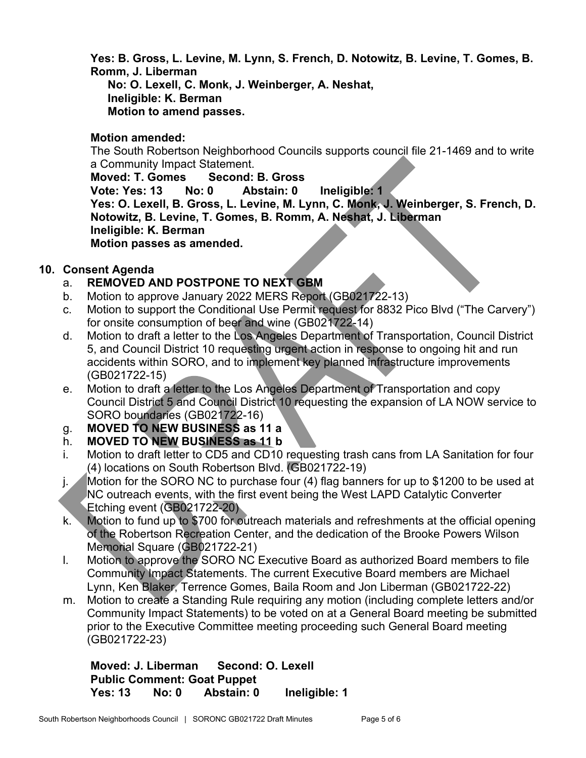**Yes: B. Gross, L. Levine, M. Lynn, S. French, D. Notowitz, B. Levine, T. Gomes, B. Romm, J. Liberman**

**No: O. Lexell, C. Monk, J. Weinberger, A. Neshat, Ineligible: K. Berman Motion to amend passes.**

# **Motion amended:**

The South Robertson Neighborhood Councils supports council file 21-1469 and to write a Community Impact Statement.

**Moved: T. Gomes Second: B. Gross Vote: Yes: 13 No: 0 Abstain: 0 Ineligible: 1 Yes: O. Lexell, B. Gross, L. Levine, M. Lynn, C. Monk, J. Weinberger, S. French, D. Notowitz, B. Levine, T. Gomes, B. Romm, A. Neshat, J. Liberman Ineligible: K. Berman Motion passes as amended.**

# **10. Consent Agenda**

- a. **REMOVED AND POSTPONE TO NEXT GBM**
- b. Motion to approve January 2022 MERS Report (GB021722-13)
- c. Motion to support the Conditional Use Permit request for 8832 Pico Blvd ("The Carvery") for onsite consumption of beer and wine (GB021722-14)
- d. Motion to draft a letter to the Los Angeles Department of Transportation, Council District 5, and Council District 10 requesting urgent action in response to ongoing hit and run accidents within SORO, and to implement key planned infrastructure improvements (GB021722-15)
- e. Motion to draft a letter to the Los Angeles Department of Transportation and copy Council District 5 and Council District 10 requesting the expansion of LA NOW service to SORO boundaries (GB021722-16)
- g. **MOVED TO NEW BUSINESS as 11 a**
- h. **MOVED TO NEW BUSINESS as 11 b**
- i. Motion to draft letter to CD5 and CD10 requesting trash cans from LA Sanitation for four (4) locations on South Robertson Blvd. (GB021722-19)
- j. Motion for the SORO NC to purchase four (4) flag banners for up to \$1200 to be used at NC outreach events, with the first event being the West LAPD Catalytic Converter Etching event (GB021722-20)
- k. Motion to fund up to \$700 for outreach materials and refreshments at the official opening of the Robertson Recreation Center, and the dedication of the Brooke Powers Wilson Memorial Square (GB021722-21)
- l. Motion to approve the SORO NC Executive Board as authorized Board members to file Community Impact Statements. The current Executive Board members are Michael Lynn, Ken Blaker, Terrence Gomes, Baila Room and Jon Liberman (GB021722-22)
- m. Motion to create a Standing Rule requiring any motion (including complete letters and/or Community Impact Statements) to be voted on at a General Board meeting be submitted prior to the Executive Committee meeting proceeding such General Board meeting (GB021722-23)

**Moved: J. Liberman Second: O. Lexell Public Comment: Goat Puppet** No: 0 Abstain: 0 Ineligible: 1